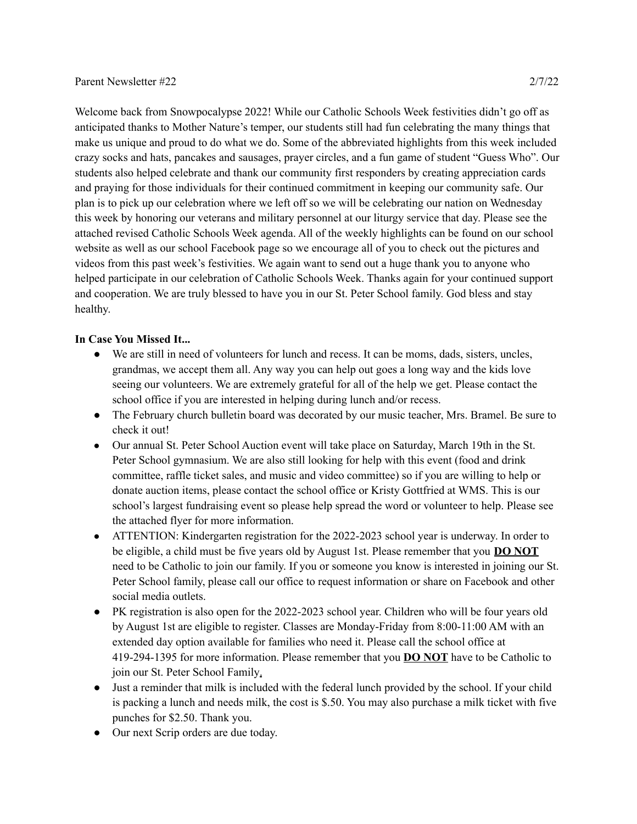Welcome back from Snowpocalypse 2022! While our Catholic Schools Week festivities didn't go off as anticipated thanks to Mother Nature's temper, our students still had fun celebrating the many things that make us unique and proud to do what we do. Some of the abbreviated highlights from this week included crazy socks and hats, pancakes and sausages, prayer circles, and a fun game of student "Guess Who". Our students also helped celebrate and thank our community first responders by creating appreciation cards and praying for those individuals for their continued commitment in keeping our community safe. Our plan is to pick up our celebration where we left off so we will be celebrating our nation on Wednesday this week by honoring our veterans and military personnel at our liturgy service that day. Please see the attached revised Catholic Schools Week agenda. All of the weekly highlights can be found on our school website as well as our school Facebook page so we encourage all of you to check out the pictures and videos from this past week's festivities. We again want to send out a huge thank you to anyone who helped participate in our celebration of Catholic Schools Week. Thanks again for your continued support and cooperation. We are truly blessed to have you in our St. Peter School family. God bless and stay healthy.

## **In Case You Missed It...**

- We are still in need of volunteers for lunch and recess. It can be moms, dads, sisters, uncles, grandmas, we accept them all. Any way you can help out goes a long way and the kids love seeing our volunteers. We are extremely grateful for all of the help we get. Please contact the school office if you are interested in helping during lunch and/or recess.
- The February church bulletin board was decorated by our music teacher, Mrs. Bramel. Be sure to check it out!
- Our annual St. Peter School Auction event will take place on Saturday, March 19th in the St. Peter School gymnasium. We are also still looking for help with this event (food and drink committee, raffle ticket sales, and music and video committee) so if you are willing to help or donate auction items, please contact the school office or Kristy Gottfried at WMS. This is our school's largest fundraising event so please help spread the word or volunteer to help. Please see the attached flyer for more information.
- ATTENTION: Kindergarten registration for the 2022-2023 school year is underway. In order to be eligible, a child must be five years old by August 1st. Please remember that you **DO NOT** need to be Catholic to join our family. If you or someone you know is interested in joining our St. Peter School family, please call our office to request information or share on Facebook and other social media outlets.
- PK registration is also open for the 2022-2023 school year. Children who will be four years old by August 1st are eligible to register. Classes are Monday-Friday from 8:00-11:00 AM with an extended day option available for families who need it. Please call the school office at 419-294-1395 for more information. Please remember that you **DO NOT** have to be Catholic to join our St. Peter School Family.
- Just a reminder that milk is included with the federal lunch provided by the school. If your child is packing a lunch and needs milk, the cost is \$.50. You may also purchase a milk ticket with five punches for \$2.50. Thank you.
- Our next Scrip orders are due today.